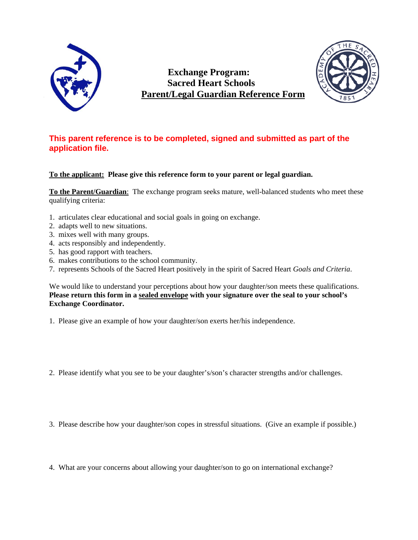

**Exchange Program: Sacred Heart Schools Parent/Legal Guardian Reference Form**



## **This parent reference is to be completed, signed and submitted as part of the application file.**

## **To the applicant: Please give this reference form to your parent or legal guardian.**

**To the Parent/Guardian**: The exchange program seeks mature, well-balanced students who meet these qualifying criteria:

- 1. articulates clear educational and social goals in going on exchange.
- 2. adapts well to new situations.
- 3. mixes well with many groups.
- 4. acts responsibly and independently.
- 5. has good rapport with teachers.
- 6. makes contributions to the school community.
- 7. represents Schools of the Sacred Heart positively in the spirit of Sacred Heart *Goals and Criteria*.

We would like to understand your perceptions about how your daughter/son meets these qualifications. **Please return this form in a sealed envelope with your signature over the seal to your school's Exchange Coordinator.**

1. Please give an example of how your daughter/son exerts her/his independence.

2. Please identify what you see to be your daughter's/son's character strengths and/or challenges.

3. Please describe how your daughter/son copes in stressful situations. (Give an example if possible.)

4. What are your concerns about allowing your daughter/son to go on international exchange?